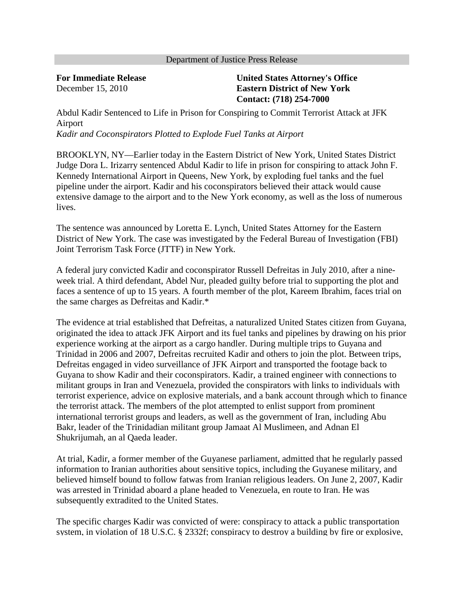## Department of Justice Press Release

**For Immediate Release** December 15, 2010

## **United States Attorney's Office Eastern District of New York Contact: (718) 254-7000**

Abdul Kadir Sentenced to Life in Prison for Conspiring to Commit Terrorist Attack at JFK Airport *Kadir and Coconspirators Plotted to Explode Fuel Tanks at Airport*

BROOKLYN, NY—Earlier today in the Eastern District of New York, United States District Judge Dora L. Irizarry sentenced Abdul Kadir to life in prison for conspiring to attack John F. Kennedy International Airport in Queens, New York, by exploding fuel tanks and the fuel pipeline under the airport. Kadir and his coconspirators believed their attack would cause extensive damage to the airport and to the New York economy, as well as the loss of numerous lives.

The sentence was announced by Loretta E. Lynch, United States Attorney for the Eastern District of New York. The case was investigated by the Federal Bureau of Investigation (FBI) Joint Terrorism Task Force (JTTF) in New York.

A federal jury convicted Kadir and coconspirator Russell Defreitas in July 2010, after a nineweek trial. A third defendant, Abdel Nur, pleaded guilty before trial to supporting the plot and faces a sentence of up to 15 years. A fourth member of the plot, Kareem Ibrahim, faces trial on the same charges as Defreitas and Kadir.\*

The evidence at trial established that Defreitas, a naturalized United States citizen from Guyana, originated the idea to attack JFK Airport and its fuel tanks and pipelines by drawing on his prior experience working at the airport as a cargo handler. During multiple trips to Guyana and Trinidad in 2006 and 2007, Defreitas recruited Kadir and others to join the plot. Between trips, Defreitas engaged in video surveillance of JFK Airport and transported the footage back to Guyana to show Kadir and their coconspirators. Kadir, a trained engineer with connections to militant groups in Iran and Venezuela, provided the conspirators with links to individuals with terrorist experience, advice on explosive materials, and a bank account through which to finance the terrorist attack. The members of the plot attempted to enlist support from prominent international terrorist groups and leaders, as well as the government of Iran, including Abu Bakr, leader of the Trinidadian militant group Jamaat Al Muslimeen, and Adnan El Shukrijumah, an al Qaeda leader.

At trial, Kadir, a former member of the Guyanese parliament, admitted that he regularly passed information to Iranian authorities about sensitive topics, including the Guyanese military, and believed himself bound to follow fatwas from Iranian religious leaders. On June 2, 2007, Kadir was arrested in Trinidad aboard a plane headed to Venezuela, en route to Iran. He was subsequently extradited to the United States.

The specific charges Kadir was convicted of were: conspiracy to attack a public transportation system, in violation of 18 U.S.C. § 2332f; conspiracy to destroy a building by fire or explosive,